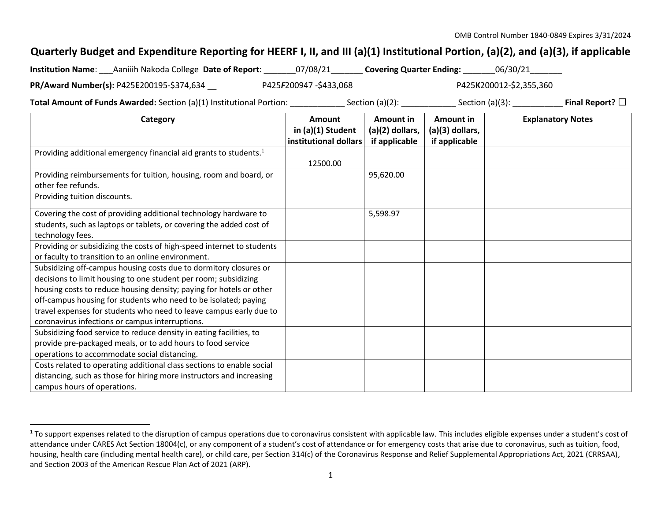## **Quarterly Budget and Expenditure Reporting for HEERF I, II, and III (a)(1) Institutional Portion, (a)(2), and (a)(3), if applicable**

| <b>Institution Name:</b><br>Aaniiih Nakoda College Date of Report: | 07/08/21                        | 06/30/21<br><b>Covering Quarter Ending:</b> |  |
|--------------------------------------------------------------------|---------------------------------|---------------------------------------------|--|
| PR/Award Number(s): P425E200195-\$374,634                          | P425 <b>F</b> 200947 -\$433,068 | P425K200012-\$2,355,360                     |  |

**Total Amount of Funds Awarded:** Section (a)(1) Institutional Portion: \_\_\_\_\_\_\_\_\_\_\_\_ Section (a)(2): \_\_\_\_\_\_\_\_\_\_\_\_ Section (a)(3): \_\_\_\_\_\_\_\_\_\_\_ **Final Report?** ☐

| Category                                                                      | Amount                                     | Amount in                          | Amount in                        | <b>Explanatory Notes</b> |
|-------------------------------------------------------------------------------|--------------------------------------------|------------------------------------|----------------------------------|--------------------------|
|                                                                               | in (a)(1) Student<br>institutional dollars | $(a)(2)$ dollars,<br>if applicable | (a)(3) dollars,<br>if applicable |                          |
| Providing additional emergency financial aid grants to students. <sup>1</sup> |                                            |                                    |                                  |                          |
|                                                                               | 12500.00                                   |                                    |                                  |                          |
| Providing reimbursements for tuition, housing, room and board, or             |                                            | 95,620.00                          |                                  |                          |
| other fee refunds.                                                            |                                            |                                    |                                  |                          |
| Providing tuition discounts.                                                  |                                            |                                    |                                  |                          |
| Covering the cost of providing additional technology hardware to              |                                            | 5,598.97                           |                                  |                          |
| students, such as laptops or tablets, or covering the added cost of           |                                            |                                    |                                  |                          |
| technology fees.                                                              |                                            |                                    |                                  |                          |
| Providing or subsidizing the costs of high-speed internet to students         |                                            |                                    |                                  |                          |
| or faculty to transition to an online environment.                            |                                            |                                    |                                  |                          |
| Subsidizing off-campus housing costs due to dormitory closures or             |                                            |                                    |                                  |                          |
| decisions to limit housing to one student per room; subsidizing               |                                            |                                    |                                  |                          |
| housing costs to reduce housing density; paying for hotels or other           |                                            |                                    |                                  |                          |
| off-campus housing for students who need to be isolated; paying               |                                            |                                    |                                  |                          |
| travel expenses for students who need to leave campus early due to            |                                            |                                    |                                  |                          |
| coronavirus infections or campus interruptions.                               |                                            |                                    |                                  |                          |
| Subsidizing food service to reduce density in eating facilities, to           |                                            |                                    |                                  |                          |
| provide pre-packaged meals, or to add hours to food service                   |                                            |                                    |                                  |                          |
| operations to accommodate social distancing.                                  |                                            |                                    |                                  |                          |
| Costs related to operating additional class sections to enable social         |                                            |                                    |                                  |                          |
| distancing, such as those for hiring more instructors and increasing          |                                            |                                    |                                  |                          |
| campus hours of operations.                                                   |                                            |                                    |                                  |                          |

 $1$  To support expenses related to the disruption of campus operations due to coronavirus consistent with applicable law. This includes eligible expenses under a student's cost of attendance under CARES Act Section 18004(c), or any component of a student's cost of attendance or for emergency costs that arise due to coronavirus, such as tuition, food, housing, health care (including mental health care), or child care, per Section 314(c) of the Coronavirus Response and Relief Supplemental Appropriations Act, 2021 (CRRSAA), and Section 2003 of the American Rescue Plan Act of 2021 (ARP).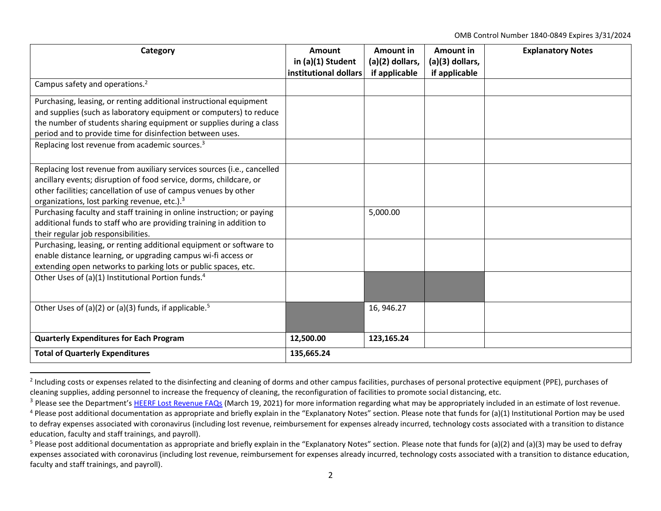OMB Control Number 1840-0849 Expires 3/31/2024

| Category                                                                                                                                                                                                                                                                                                                                   | Amount<br>in (a)(1) Student<br>institutional dollars | Amount in<br>$(a)(2)$ dollars,<br>if applicable | Amount in<br>(a)(3) dollars,<br>if applicable | <b>Explanatory Notes</b> |
|--------------------------------------------------------------------------------------------------------------------------------------------------------------------------------------------------------------------------------------------------------------------------------------------------------------------------------------------|------------------------------------------------------|-------------------------------------------------|-----------------------------------------------|--------------------------|
| Campus safety and operations. <sup>2</sup>                                                                                                                                                                                                                                                                                                 |                                                      |                                                 |                                               |                          |
| Purchasing, leasing, or renting additional instructional equipment<br>and supplies (such as laboratory equipment or computers) to reduce<br>the number of students sharing equipment or supplies during a class<br>period and to provide time for disinfection between uses.<br>Replacing lost revenue from academic sources. <sup>3</sup> |                                                      |                                                 |                                               |                          |
|                                                                                                                                                                                                                                                                                                                                            |                                                      |                                                 |                                               |                          |
| Replacing lost revenue from auxiliary services sources (i.e., cancelled<br>ancillary events; disruption of food service, dorms, childcare, or<br>other facilities; cancellation of use of campus venues by other<br>organizations, lost parking revenue, etc.). <sup>3</sup>                                                               |                                                      |                                                 |                                               |                          |
| Purchasing faculty and staff training in online instruction; or paying<br>additional funds to staff who are providing training in addition to<br>their regular job responsibilities.                                                                                                                                                       |                                                      | 5,000.00                                        |                                               |                          |
| Purchasing, leasing, or renting additional equipment or software to<br>enable distance learning, or upgrading campus wi-fi access or<br>extending open networks to parking lots or public spaces, etc.                                                                                                                                     |                                                      |                                                 |                                               |                          |
| Other Uses of (a)(1) Institutional Portion funds. <sup>4</sup>                                                                                                                                                                                                                                                                             |                                                      |                                                 |                                               |                          |
| Other Uses of (a)(2) or (a)(3) funds, if applicable. <sup>5</sup>                                                                                                                                                                                                                                                                          |                                                      | 16, 946.27                                      |                                               |                          |
| <b>Quarterly Expenditures for Each Program</b>                                                                                                                                                                                                                                                                                             | 12,500.00                                            | 123,165.24                                      |                                               |                          |
| <b>Total of Quarterly Expenditures</b>                                                                                                                                                                                                                                                                                                     | 135,665.24                                           |                                                 |                                               |                          |

 $^2$  Including costs or expenses related to the disinfecting and cleaning of dorms and other campus facilities, purchases of personal protective equipment (PPE), purchases of cleaning supplies, adding personnel to increase the frequency of cleaning, the reconfiguration of facilities to promote social distancing, etc.

<sup>&</sup>lt;sup>3</sup> Please see the Department's [HEERF Lost Revenue FAQs](https://www2.ed.gov/about/offices/list/ope/heerflostrevenuefaqs.pdf) (March 19, 2021) for more information regarding what may be appropriately included in an estimate of lost revenue.

 $4$  Please post additional documentation as appropriate and briefly explain in the "Explanatory Notes" section. Please note that funds for (a)(1) Institutional Portion may be used to defray expenses associated with coronavirus (including lost revenue, reimbursement for expenses already incurred, technology costs associated with a transition to distance education, faculty and staff trainings, and payroll).

<sup>&</sup>lt;sup>5</sup> Please post additional documentation as appropriate and briefly explain in the "Explanatory Notes" section. Please note that funds for (a)(2) and (a)(3) may be used to defray expenses associated with coronavirus (including lost revenue, reimbursement for expenses already incurred, technology costs associated with a transition to distance education, faculty and staff trainings, and payroll).